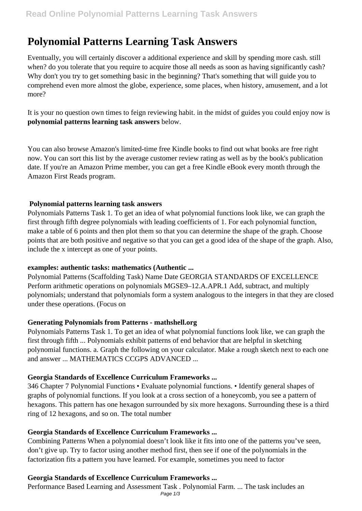# **Polynomial Patterns Learning Task Answers**

Eventually, you will certainly discover a additional experience and skill by spending more cash. still when? do you tolerate that you require to acquire those all needs as soon as having significantly cash? Why don't you try to get something basic in the beginning? That's something that will guide you to comprehend even more almost the globe, experience, some places, when history, amusement, and a lot more?

It is your no question own times to feign reviewing habit. in the midst of guides you could enjoy now is **polynomial patterns learning task answers** below.

You can also browse Amazon's limited-time free Kindle books to find out what books are free right now. You can sort this list by the average customer review rating as well as by the book's publication date. If you're an Amazon Prime member, you can get a free Kindle eBook every month through the Amazon First Reads program.

#### **Polynomial patterns learning task answers**

Polynomials Patterns Task 1. To get an idea of what polynomial functions look like, we can graph the first through fifth degree polynomials with leading coefficients of 1. For each polynomial function, make a table of 6 points and then plot them so that you can determine the shape of the graph. Choose points that are both positive and negative so that you can get a good idea of the shape of the graph. Also, include the x intercept as one of your points.

#### **examples: authentic tasks: mathematics (Authentic ...**

Polynomial Patterns (Scaffolding Task) Name Date GEORGIA STANDARDS OF EXCELLENCE Perform arithmetic operations on polynomials MGSE9–12.A.APR.1 Add, subtract, and multiply polynomials; understand that polynomials form a system analogous to the integers in that they are closed under these operations. (Focus on

## **Generating Polynomials from Patterns - mathshell.org**

Polynomials Patterns Task 1. To get an idea of what polynomial functions look like, we can graph the first through fifth ... Polynomials exhibit patterns of end behavior that are helpful in sketching polynomial functions. a. Graph the following on your calculator. Make a rough sketch next to each one and answer ... MATHEMATICS CCGPS ADVANCED ...

## **Georgia Standards of Excellence Curriculum Frameworks ...**

346 Chapter 7 Polynomial Functions • Evaluate polynomial functions. • Identify general shapes of graphs of polynomial functions. If you look at a cross section of a honeycomb, you see a pattern of hexagons. This pattern has one hexagon surrounded by six more hexagons. Surrounding these is a third ring of 12 hexagons, and so on. The total number

#### **Georgia Standards of Excellence Curriculum Frameworks ...**

Combining Patterns When a polynomial doesn't look like it fits into one of the patterns you've seen, don't give up. Try to factor using another method first, then see if one of the polynomials in the factorization fits a pattern you have learned. For example, sometimes you need to factor

#### **Georgia Standards of Excellence Curriculum Frameworks ...**

Performance Based Learning and Assessment Task . Polynomial Farm. ... The task includes an

Page 1/3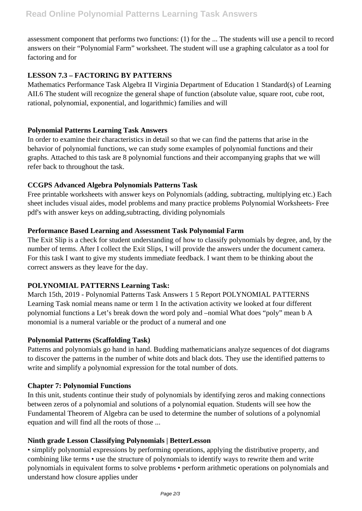assessment component that performs two functions: (1) for the ... The students will use a pencil to record answers on their "Polynomial Farm" worksheet. The student will use a graphing calculator as a tool for factoring and for

## **LESSON 7.3 – FACTORING BY PATTERNS**

Mathematics Performance Task Algebra II Virginia Department of Education 1 Standard(s) of Learning AII.6 The student will recognize the general shape of function (absolute value, square root, cube root, rational, polynomial, exponential, and logarithmic) families and will

## **Polynomial Patterns Learning Task Answers**

In order to examine their characteristics in detail so that we can find the patterns that arise in the behavior of polynomial functions, we can study some examples of polynomial functions and their graphs. Attached to this task are 8 polynomial functions and their accompanying graphs that we will refer back to throughout the task.

## **CCGPS Advanced Algebra Polynomials Patterns Task**

Free printable worksheets with answer keys on Polynomials (adding, subtracting, multiplying etc.) Each sheet includes visual aides, model problems and many practice problems Polynomial Worksheets- Free pdf's with answer keys on adding,subtracting, dividing polynomials

## **Performance Based Learning and Assessment Task Polynomial Farm**

The Exit Slip is a check for student understanding of how to classify polynomials by degree, and, by the number of terms. After I collect the Exit Slips, I will provide the answers under the document camera. For this task I want to give my students immediate feedback. I want them to be thinking about the correct answers as they leave for the day.

## **POLYNOMIAL PATTERNS Learning Task:**

March 15th, 2019 - Polynomial Patterns Task Answers 1 5 Report POLYNOMIAL PATTERNS Learning Task nomial means name or term 1 In the activation activity we looked at four different polynomial functions a Let's break down the word poly and –nomial What does "poly" mean b A monomial is a numeral variable or the product of a numeral and one

## **Polynomial Patterns (Scaffolding Task)**

Patterns and polynomials go hand in hand. Budding mathematicians analyze sequences of dot diagrams to discover the patterns in the number of white dots and black dots. They use the identified patterns to write and simplify a polynomial expression for the total number of dots.

## **Chapter 7: Polynomial Functions**

In this unit, students continue their study of polynomials by identifying zeros and making connections between zeros of a polynomial and solutions of a polynomial equation. Students will see how the Fundamental Theorem of Algebra can be used to determine the number of solutions of a polynomial equation and will find all the roots of those ...

## **Ninth grade Lesson Classifying Polynomials | BetterLesson**

• simplify polynomial expressions by performing operations, applying the distributive property, and combining like terms • use the structure of polynomials to identify ways to rewrite them and write polynomials in equivalent forms to solve problems • perform arithmetic operations on polynomials and understand how closure applies under